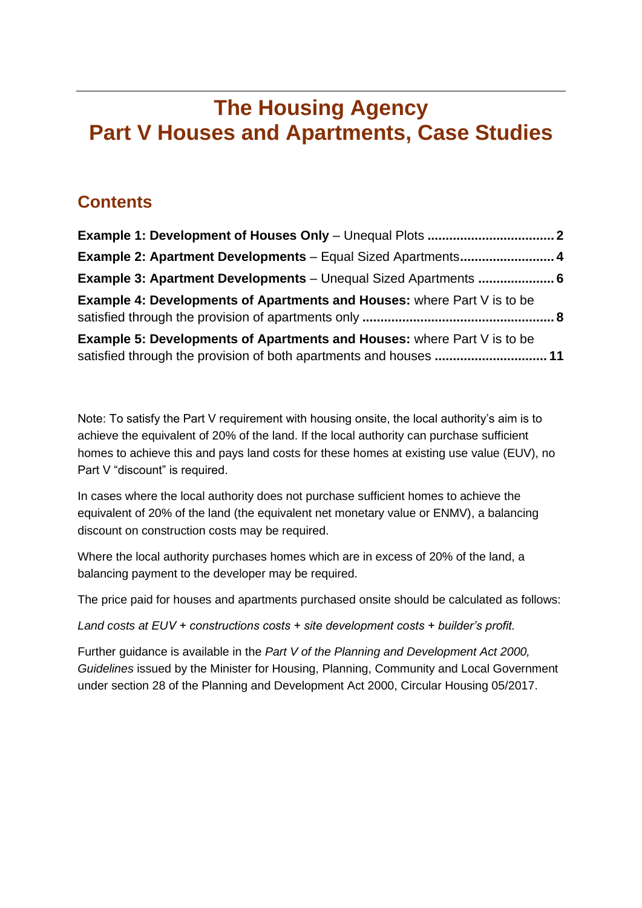# **The Housing Agency Part V Houses and Apartments, Case Studies**

#### **Contents**

| <b>Example 2: Apartment Developments</b> - Equal Sized Apartments 4                                                                                 |  |
|-----------------------------------------------------------------------------------------------------------------------------------------------------|--|
| <b>Example 3: Apartment Developments</b> - Unequal Sized Apartments  6                                                                              |  |
| <b>Example 4: Developments of Apartments and Houses:</b> where Part V is to be                                                                      |  |
| <b>Example 5: Developments of Apartments and Houses:</b> where Part V is to be<br>satisfied through the provision of both apartments and houses  11 |  |

Note: To satisfy the Part V requirement with housing onsite, the local authority's aim is to achieve the equivalent of 20% of the land. If the local authority can purchase sufficient homes to achieve this and pays land costs for these homes at existing use value (EUV), no Part V "discount" is required.

In cases where the local authority does not purchase sufficient homes to achieve the equivalent of 20% of the land (the equivalent net monetary value or ENMV), a balancing discount on construction costs may be required.

Where the local authority purchases homes which are in excess of 20% of the land, a balancing payment to the developer may be required.

The price paid for houses and apartments purchased onsite should be calculated as follows:

*Land costs at EUV + constructions costs + site development costs + builder's profit.*

Further guidance is available in the *Part V of the Planning and Development Act 2000, Guidelines* issued by the Minister for Housing, Planning, Community and Local Government under section 28 of the Planning and Development Act 2000, Circular Housing 05/2017.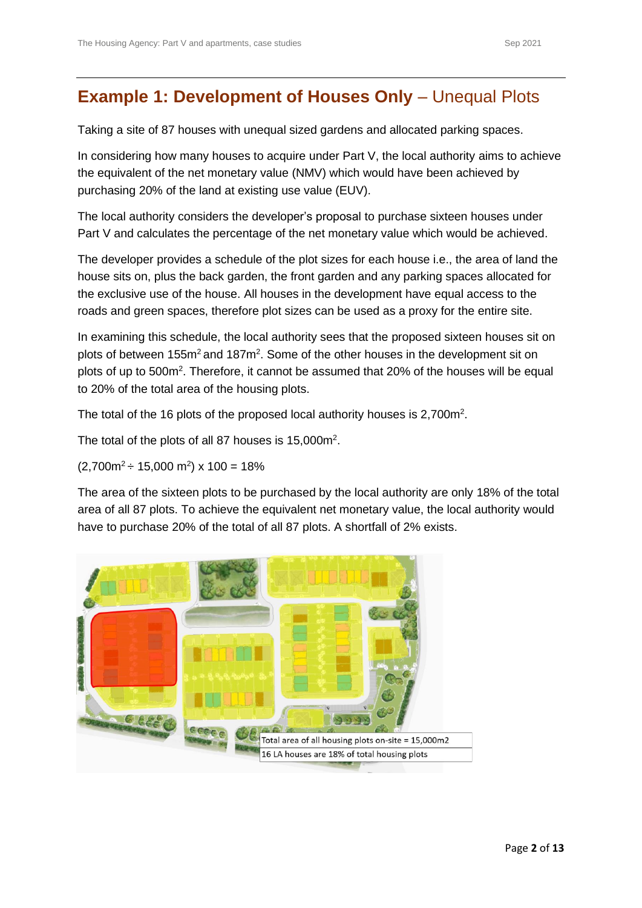#### <span id="page-1-0"></span>**Example 1: Development of Houses Only - Unequal Plots**

Taking a site of 87 houses with unequal sized gardens and allocated parking spaces.

In considering how many houses to acquire under Part V, the local authority aims to achieve the equivalent of the net monetary value (NMV) which would have been achieved by purchasing 20% of the land at existing use value (EUV).

The local authority considers the developer's proposal to purchase sixteen houses under Part V and calculates the percentage of the net monetary value which would be achieved.

The developer provides a schedule of the plot sizes for each house i.e., the area of land the house sits on, plus the back garden, the front garden and any parking spaces allocated for the exclusive use of the house. All houses in the development have equal access to the roads and green spaces, therefore plot sizes can be used as a proxy for the entire site.

In examining this schedule, the local authority sees that the proposed sixteen houses sit on plots of between 155 $m^2$  and 187 $m^2$ . Some of the other houses in the development sit on plots of up to 500m<sup>2</sup>. Therefore, it cannot be assumed that 20% of the houses will be equal to 20% of the total area of the housing plots.

The total of the 16 plots of the proposed local authority houses is  $2,700m^2$ .

The total of the plots of all 87 houses is 15,000m<sup>2</sup>.

 $(2,700m^2 \div 15,000 m^2) \times 100 = 18\%$ 

The area of the sixteen plots to be purchased by the local authority are only 18% of the total area of all 87 plots. To achieve the equivalent net monetary value, the local authority would have to purchase 20% of the total of all 87 plots. A shortfall of 2% exists.

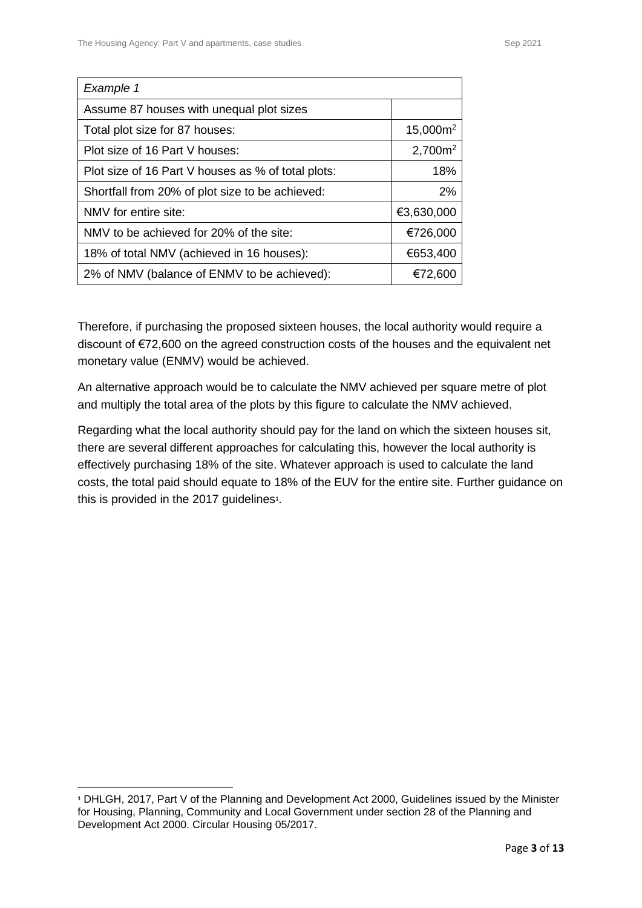| Example 1                                          |                     |
|----------------------------------------------------|---------------------|
| Assume 87 houses with unequal plot sizes           |                     |
| Total plot size for 87 houses:                     | $15,000m^2$         |
| Plot size of 16 Part V houses:                     | 2,700m <sup>2</sup> |
| Plot size of 16 Part V houses as % of total plots: | 18%                 |
| Shortfall from 20% of plot size to be achieved:    | 2%                  |
| NMV for entire site:                               | €3,630,000          |
| NMV to be achieved for 20% of the site:            | €726,000            |
| 18% of total NMV (achieved in 16 houses):          | €653,400            |
| 2% of NMV (balance of ENMV to be achieved):        | €72,600             |

Therefore, if purchasing the proposed sixteen houses, the local authority would require a discount of €72,600 on the agreed construction costs of the houses and the equivalent net monetary value (ENMV) would be achieved.

An alternative approach would be to calculate the NMV achieved per square metre of plot and multiply the total area of the plots by this figure to calculate the NMV achieved.

Regarding what the local authority should pay for the land on which the sixteen houses sit, there are several different approaches for calculating this, however the local authority is effectively purchasing 18% of the site. Whatever approach is used to calculate the land costs, the total paid should equate to 18% of the EUV for the entire site. Further guidance on this is provided in the 2017 guidelines**<sup>1</sup>** .

**<sup>1</sup>** DHLGH, 2017, Part V of the Planning and Development Act 2000, Guidelines issued by the Minister for Housing, Planning, Community and Local Government under section 28 of the Planning and Development Act 2000. Circular Housing 05/2017.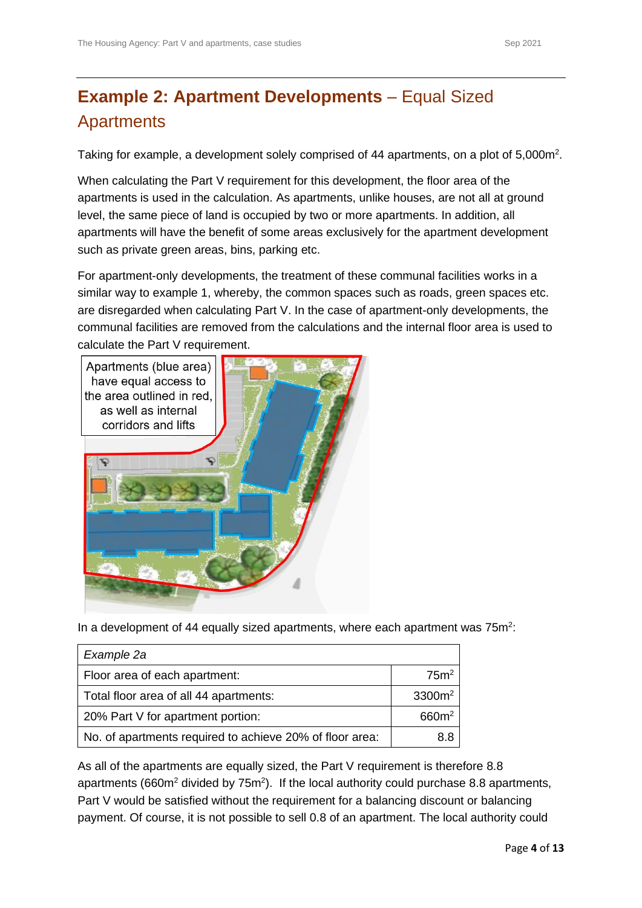### <span id="page-3-0"></span>**Example 2: Apartment Developments** – Equal Sized Apartments

Taking for example, a development solely comprised of 44 apartments, on a plot of 5,000m<sup>2</sup>.

When calculating the Part V requirement for this development, the floor area of the apartments is used in the calculation. As apartments, unlike houses, are not all at ground level, the same piece of land is occupied by two or more apartments. In addition, all apartments will have the benefit of some areas exclusively for the apartment development such as private green areas, bins, parking etc.

For apartment-only developments, the treatment of these communal facilities works in a similar way to example 1, whereby, the common spaces such as roads, green spaces etc. are disregarded when calculating Part V. In the case of apartment-only developments, the communal facilities are removed from the calculations and the internal floor area is used to calculate the Part V requirement.



In a development of 44 equally sized apartments, where each apartment was  $75m^2$ :

| Example 2a                                               |                   |
|----------------------------------------------------------|-------------------|
| Floor area of each apartment:                            | 75 <sup>2</sup>   |
| Total floor area of all 44 apartments:                   | $3300m^2$         |
| 20% Part V for apartment portion:                        | 660m <sup>2</sup> |
| No. of apartments required to achieve 20% of floor area: | 88                |

As all of the apartments are equally sized, the Part V requirement is therefore 8.8 apartments (660 $m^2$  divided by 75 $m^2$ ). If the local authority could purchase 8.8 apartments, Part V would be satisfied without the requirement for a balancing discount or balancing payment. Of course, it is not possible to sell 0.8 of an apartment. The local authority could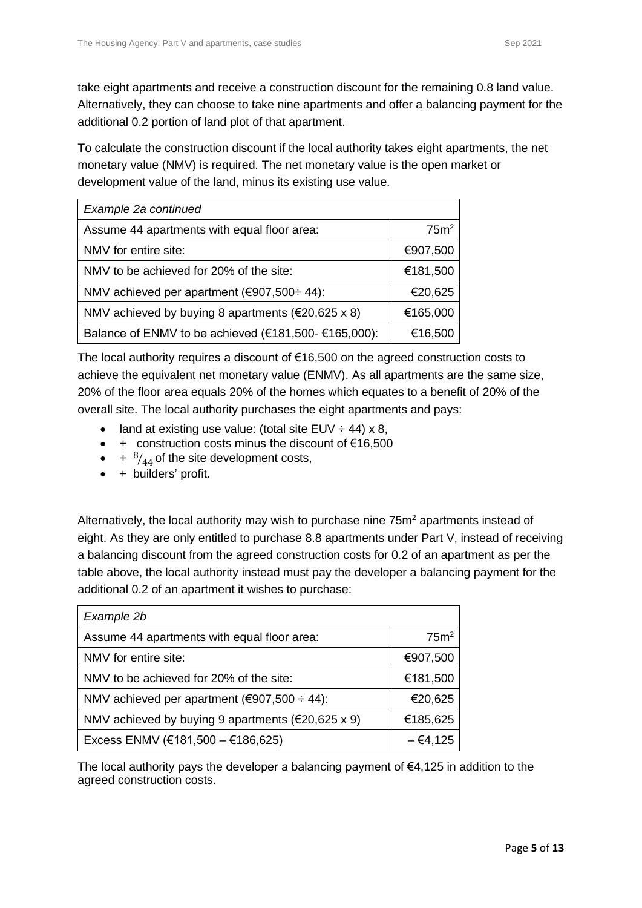take eight apartments and receive a construction discount for the remaining 0.8 land value. Alternatively, they can choose to take nine apartments and offer a balancing payment for the additional 0.2 portion of land plot of that apartment.

To calculate the construction discount if the local authority takes eight apartments, the net monetary value (NMV) is required. The net monetary value is the open market or development value of the land, minus its existing use value.

| Example 2a continued                                         |                  |
|--------------------------------------------------------------|------------------|
| Assume 44 apartments with equal floor area:                  | 75m <sup>2</sup> |
| NMV for entire site:                                         | €907,500         |
| NMV to be achieved for 20% of the site:                      | €181,500         |
| NMV achieved per apartment (€907,500÷ 44):                   | €20,625          |
| NMV achieved by buying 8 apartments ( $\epsilon$ 20,625 x 8) | €165,000         |
| Balance of ENMV to be achieved (€181,500- €165,000):         | €16,500          |

The local authority requires a discount of  $\epsilon$ 16,500 on the agreed construction costs to achieve the equivalent net monetary value (ENMV). As all apartments are the same size, 20% of the floor area equals 20% of the homes which equates to a benefit of 20% of the overall site. The local authority purchases the eight apartments and pays:

- land at existing use value: (total site  $EUV \div 44$ ) x 8,
- $\bullet$  + construction costs minus the discount of €16,500
- $\bullet$  +  $\frac{8}{44}$  of the site development costs,
- + builders' profit.

Alternatively, the local authority may wish to purchase nine 75m<sup>2</sup> apartments instead of eight. As they are only entitled to purchase 8.8 apartments under Part V, instead of receiving a balancing discount from the agreed construction costs for 0.2 of an apartment as per the table above, the local authority instead must pay the developer a balancing payment for the additional 0.2 of an apartment it wishes to purchase:

| Example 2b                                                   |                  |
|--------------------------------------------------------------|------------------|
| Assume 44 apartments with equal floor area:                  | 75m <sup>2</sup> |
| NMV for entire site:                                         | €907,500         |
| NMV to be achieved for 20% of the site:                      | €181,500         |
| NMV achieved per apartment ( $€907,500 ÷ 44$ ):              | €20,625          |
| NMV achieved by buying 9 apartments ( $\epsilon$ 20,625 x 9) | €185,625         |
| Excess ENMV (€181,500 - €186,625)                            | $-64,125$        |

The local authority pays the developer a balancing payment of  $\epsilon$ 4,125 in addition to the agreed construction costs.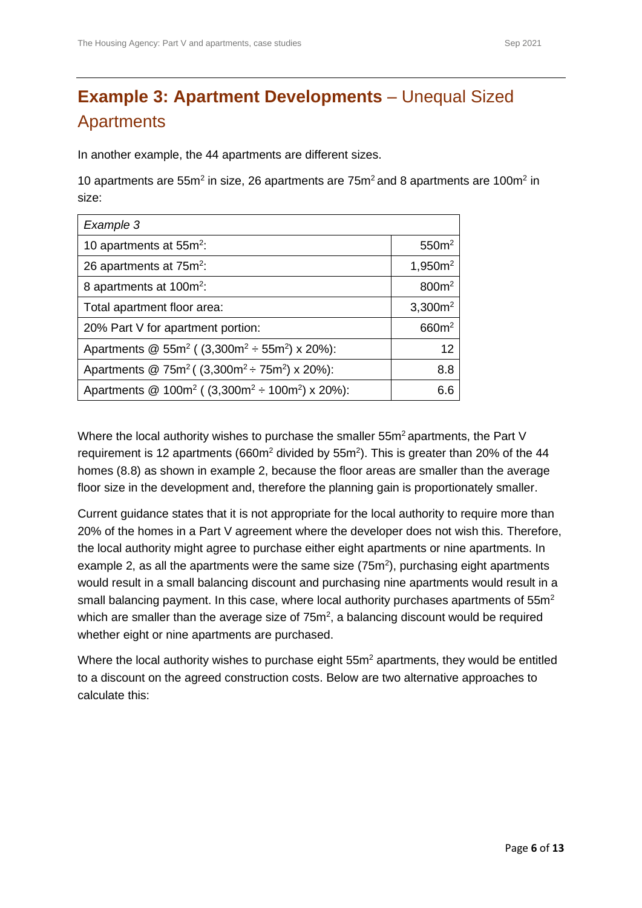### <span id="page-5-0"></span>**Example 3: Apartment Developments – Unequal Sized Apartments**

In another example, the 44 apartments are different sizes.

10 apartments are 55 $m^2$  in size, 26 apartments are 75 $m^2$  and 8 apartments are 100 $m^2$  in size:

| Example 3                                                         |                     |
|-------------------------------------------------------------------|---------------------|
| 10 apartments at $55m^2$ :                                        | 550 <sup>m²</sup>   |
| 26 apartments at 75m <sup>2</sup> :                               | 1,950m <sup>2</sup> |
| 8 apartments at 100m <sup>2</sup> :                               | 800m <sup>2</sup>   |
| Total apartment floor area:                                       | $3,300m^2$          |
| 20% Part V for apartment portion:                                 | 660m <sup>2</sup>   |
| Apartments @ $55m^2$ ( $(3,300m^2 \div 55m^2)$ x 20%):            | 12                  |
| Apartments @ 75m <sup>2</sup> ( $(3,300m^2 \div 75m^2)$ x 20%):   | 8.8                 |
| Apartments @ 100m <sup>2</sup> ( $(3,300m^2 \div 100m^2)$ x 20%): | 6.6                 |

Where the local authority wishes to purchase the smaller 55m<sup>2</sup> apartments, the Part V requirement is 12 apartments (660 $m<sup>2</sup>$  divided by 55 $m<sup>2</sup>$ ). This is greater than 20% of the 44 homes (8.8) as shown in example 2, because the floor areas are smaller than the average floor size in the development and, therefore the planning gain is proportionately smaller.

Current guidance states that it is not appropriate for the local authority to require more than 20% of the homes in a Part V agreement where the developer does not wish this. Therefore, the local authority might agree to purchase either eight apartments or nine apartments. In example 2, as all the apartments were the same size  $(75m<sup>2</sup>)$ , purchasing eight apartments would result in a small balancing discount and purchasing nine apartments would result in a small balancing payment. In this case, where local authority purchases apartments of 55m<sup>2</sup> which are smaller than the average size of  $75<sup>m²</sup>$ , a balancing discount would be required whether eight or nine apartments are purchased.

Where the local authority wishes to purchase eight 55m<sup>2</sup> apartments, they would be entitled to a discount on the agreed construction costs. Below are two alternative approaches to calculate this: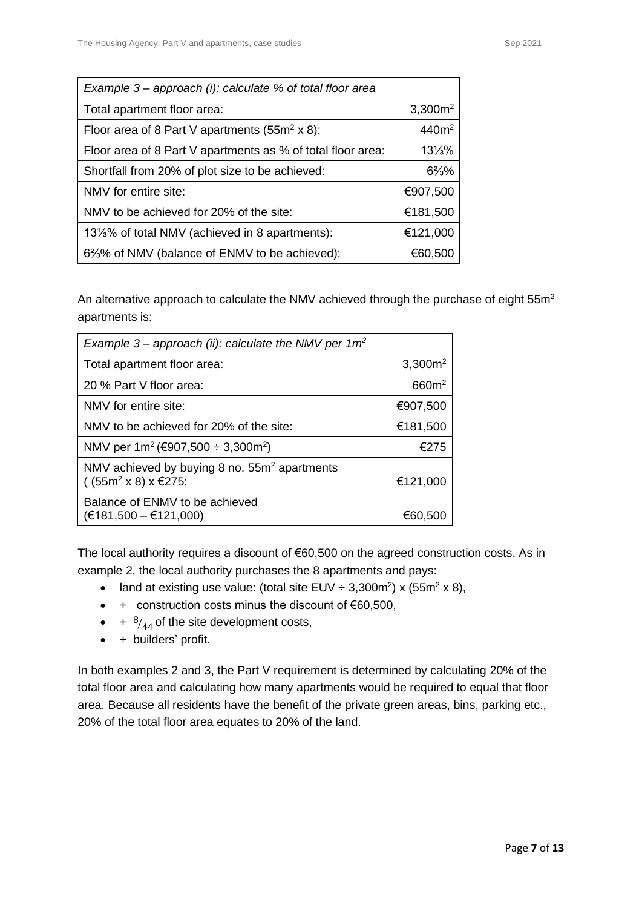| Example 3 – approach (i): calculate % of total floor area    |                     |
|--------------------------------------------------------------|---------------------|
| Total apartment floor area:                                  | 3,300m <sup>2</sup> |
| Floor area of 8 Part V apartments (55 $m^2$ x 8):            | 440m <sup>2</sup>   |
| Floor area of 8 Part V apartments as % of total floor area:  | $13\frac{1}{3}\%$   |
| Shortfall from 20% of plot size to be achieved:              | $6\frac{2}{3}\%$    |
| NMV for entire site:                                         | €907,500            |
| NMV to be achieved for 20% of the site:                      | €181,500            |
| 131/ <sub>3</sub> % of total NMV (achieved in 8 apartments): | €121,000            |
| 6%% of NMV (balance of ENMV to be achieved):                 | €60,500             |

An alternative approach to calculate the NMV achieved through the purchase of eight 55m<sup>2</sup> apartments is:

| Example 3 – approach (ii): calculate the NMV per $1m^2$                                      |                   |
|----------------------------------------------------------------------------------------------|-------------------|
| Total apartment floor area:                                                                  | $3,300m^2$        |
| 20 % Part V floor area:                                                                      | 660m <sup>2</sup> |
| NMV for entire site:                                                                         | €907,500          |
| NMV to be achieved for 20% of the site:                                                      | €181,500          |
| NMV per $1m^2$ (€907,500 ÷ 3,300m <sup>2</sup> )                                             | €275              |
| NMV achieved by buying 8 no. 55m <sup>2</sup> apartments<br>( (55m <sup>2</sup> × 8) × €275) | €121,000          |
| Balance of ENMV to be achieved<br>$(€181,500 - €121,000)$                                    | €60,500           |

The local authority requires a discount of €60,500 on the agreed construction costs. As in example 2, the local authority purchases the 8 apartments and pays:

- land at existing use value: (total site EUV  $\div$  3,300m<sup>2</sup>) x (55m<sup>2</sup> x 8),
- $\bullet$  + construction costs minus the discount of €60,500,
- $\bullet$  +  $\frac{8}{44}$  of the site development costs,
- + builders' profit.

In both examples 2 and 3, the Part V requirement is determined by calculating 20% of the total floor area and calculating how many apartments would be required to equal that floor area. Because all residents have the benefit of the private green areas, bins, parking etc., 20% of the total floor area equates to 20% of the land.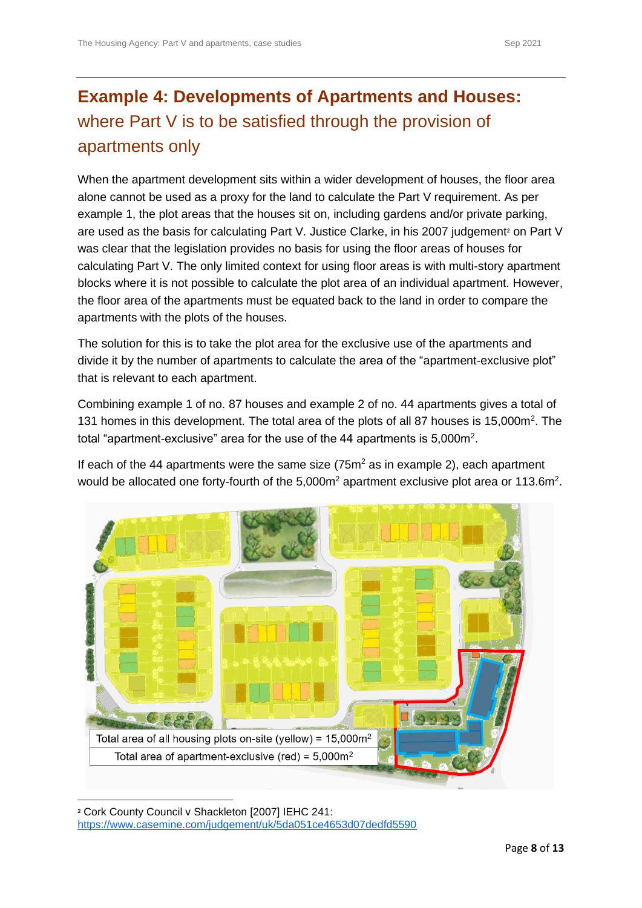### <span id="page-7-0"></span>**Example 4: Developments of Apartments and Houses:**  where Part V is to be satisfied through the provision of apartments only

When the apartment development sits within a wider development of houses, the floor area alone cannot be used as a proxy for the land to calculate the Part V requirement. As per example 1, the plot areas that the houses sit on, including gardens and/or private parking, are used as the basis for calculating Part V. Justice Clarke, in his 2007 judgement<sup>2</sup> on Part V was clear that the legislation provides no basis for using the floor areas of houses for calculating Part V. The only limited context for using floor areas is with multi-story apartment blocks where it is not possible to calculate the plot area of an individual apartment. However, the floor area of the apartments must be equated back to the land in order to compare the apartments with the plots of the houses.

The solution for this is to take the plot area for the exclusive use of the apartments and divide it by the number of apartments to calculate the area of the "apartment-exclusive plot" that is relevant to each apartment.

Combining example 1 of no. 87 houses and example 2 of no. 44 apartments gives a total of 131 homes in this development. The total area of the plots of all 87 houses is 15,000m<sup>2</sup>. The total "apartment-exclusive" area for the use of the 44 apartments is  $5,000$ m<sup>2</sup>.

If each of the 44 apartments were the same size  $(75m^2)$  as in example 2), each apartment would be allocated one forty-fourth of the  $5,000m^2$  apartment exclusive plot area or 113.6m<sup>2</sup>.



**<sup>2</sup>** Cork County Council v Shackleton [2007] IEHC 241: <https://www.casemine.com/judgement/uk/5da051ce4653d07dedfd5590>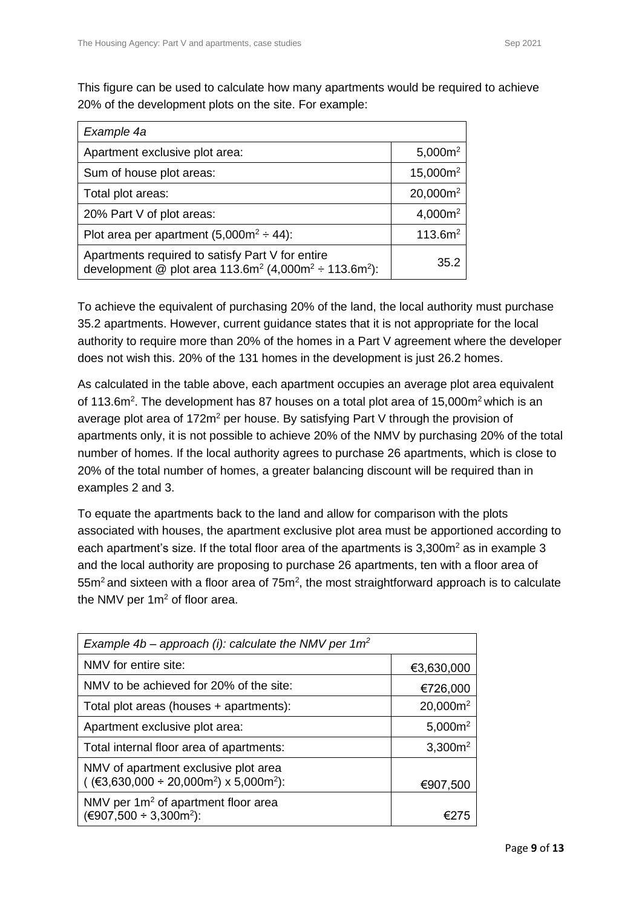This figure can be used to calculate how many apartments would be required to achieve 20% of the development plots on the site. For example:

| Example 4a                                                                                                                                    |                     |
|-----------------------------------------------------------------------------------------------------------------------------------------------|---------------------|
| Apartment exclusive plot area:                                                                                                                | 5,000 $m2$          |
| Sum of house plot areas:                                                                                                                      | $15,000m^2$         |
| Total plot areas:                                                                                                                             | $20,000m^2$         |
| 20% Part V of plot areas:                                                                                                                     | 4,000 $m2$          |
| Plot area per apartment $(5,000m^2 \div 44)$ :                                                                                                | 113.6m <sup>2</sup> |
| Apartments required to satisfy Part V for entire<br>development @ plot area 113.6m <sup>2</sup> (4,000m <sup>2</sup> ÷ 113.6m <sup>2</sup> ): | 35.2                |

To achieve the equivalent of purchasing 20% of the land, the local authority must purchase 35.2 apartments. However, current guidance states that it is not appropriate for the local authority to require more than 20% of the homes in a Part V agreement where the developer does not wish this. 20% of the 131 homes in the development is just 26.2 homes.

As calculated in the table above, each apartment occupies an average plot area equivalent of 113.6m<sup>2</sup>. The development has 87 houses on a total plot area of 15,000m<sup>2</sup> which is an average plot area of  $172m^2$  per house. By satisfying Part V through the provision of apartments only, it is not possible to achieve 20% of the NMV by purchasing 20% of the total number of homes. If the local authority agrees to purchase 26 apartments, which is close to 20% of the total number of homes, a greater balancing discount will be required than in examples 2 and 3.

To equate the apartments back to the land and allow for comparison with the plots associated with houses, the apartment exclusive plot area must be apportioned according to each apartment's size. If the total floor area of the apartments is 3,300m<sup>2</sup> as in example 3 and the local authority are proposing to purchase 26 apartments, ten with a floor area of  $55m<sup>2</sup>$  and sixteen with a floor area of  $75m<sup>2</sup>$ , the most straightforward approach is to calculate the NMV per 1m<sup>2</sup> of floor area.

| Example 4b – approach (i): calculate the NMV per $1m^2$                                                   |             |
|-----------------------------------------------------------------------------------------------------------|-------------|
| NMV for entire site:                                                                                      | €3,630,000  |
| NMV to be achieved for 20% of the site:                                                                   | €726,000    |
| Total plot areas (houses + apartments):                                                                   | $20,000m^2$ |
| Apartment exclusive plot area:                                                                            | 5,000 $m2$  |
| Total internal floor area of apartments:                                                                  | $3,300m^2$  |
| NMV of apartment exclusive plot area<br>$($ (€3,630,000 ÷ 20,000m <sup>2</sup> ) x 5,000m <sup>2</sup> ): | €907,500    |
| NMV per $1m^2$ of apartment floor area<br>$(€907,500 ÷ 3,300m2)$ :                                        |             |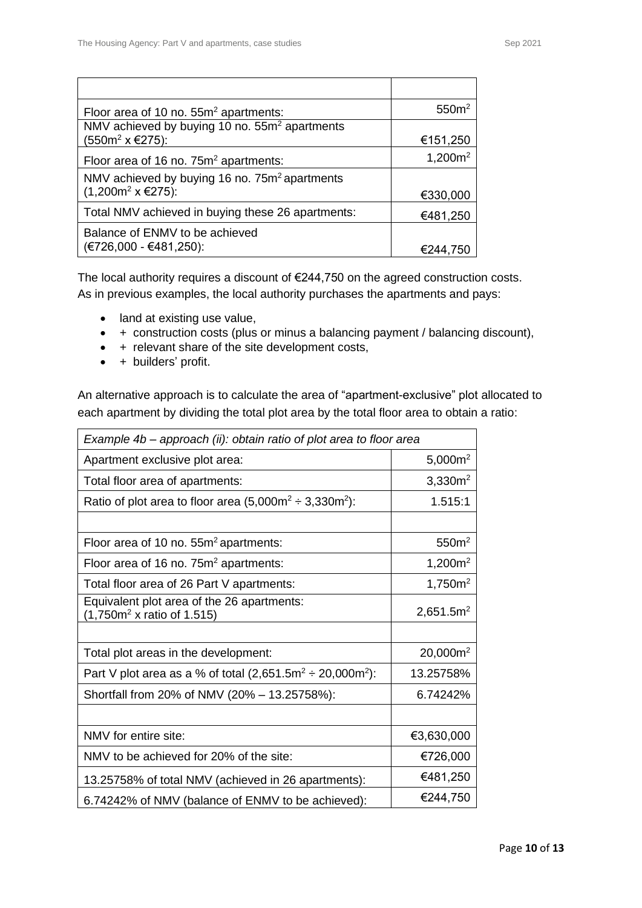| Floor area of 10 no. 55m <sup>2</sup> apartments:         | 550 <sup>m²</sup> |
|-----------------------------------------------------------|-------------------|
| NMV achieved by buying 10 no. 55m <sup>2</sup> apartments |                   |
| (550m <sup>2</sup> x €275):                               | €151,250          |
| Floor area of 16 no. 75m <sup>2</sup> apartments:         | 1,200 $m2$        |
| NMV achieved by buying 16 no. 75m <sup>2</sup> apartments |                   |
| $(1,200m2 × €275)$ :                                      | €330,000          |
| Total NMV achieved in buying these 26 apartments:         | €481,250          |
| Balance of ENMV to be achieved                            |                   |
| (€726,000 - €481,250):                                    | €244,750          |

The local authority requires a discount of €244,750 on the agreed construction costs. As in previous examples, the local authority purchases the apartments and pays:

- land at existing use value,
- + construction costs (plus or minus a balancing payment / balancing discount),
- + relevant share of the site development costs,
- + builders' profit.

An alternative approach is to calculate the area of "apartment-exclusive" plot allocated to each apartment by dividing the total plot area by the total floor area to obtain a ratio:

| Example 4b – approach (ii): obtain ratio of plot area to floor area                  |                       |
|--------------------------------------------------------------------------------------|-----------------------|
| Apartment exclusive plot area:                                                       | $5,000m^2$            |
| Total floor area of apartments:                                                      | 3,330m <sup>2</sup>   |
| Ratio of plot area to floor area $(5,000m^2 \div 3,330m^2)$ :                        | 1.515:1               |
|                                                                                      |                       |
| Floor area of 10 no. 55m <sup>2</sup> apartments:                                    | 550 <sup>m²</sup>     |
| Floor area of 16 no. 75m <sup>2</sup> apartments:                                    | 1,200 $m2$            |
| Total floor area of 26 Part V apartments:                                            | 1,750m <sup>2</sup>   |
| Equivalent plot area of the 26 apartments:<br>(1,750m <sup>2</sup> x ratio of 1.515) | 2,651.5m <sup>2</sup> |
|                                                                                      |                       |
| Total plot areas in the development:                                                 | 20,000m <sup>2</sup>  |
| Part V plot area as a % of total $(2,651.5m^2 \div 20,000m^2)$ :                     | 13.25758%             |
| Shortfall from 20% of NMV (20% - 13.25758%):                                         | 6.74242%              |
|                                                                                      |                       |
| NMV for entire site:                                                                 | €3,630,000            |
| NMV to be achieved for 20% of the site:                                              | €726,000              |
| 13.25758% of total NMV (achieved in 26 apartments):                                  | €481,250              |
| 6.74242% of NMV (balance of ENMV to be achieved):                                    | €244,750              |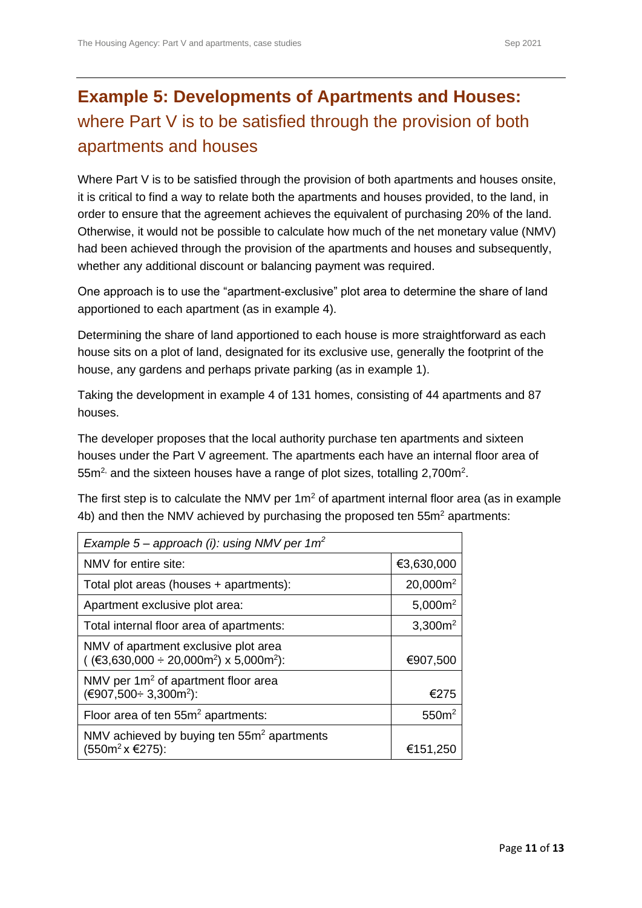## <span id="page-10-0"></span>**Example 5: Developments of Apartments and Houses:**  where Part V is to be satisfied through the provision of both apartments and houses

Where Part V is to be satisfied through the provision of both apartments and houses onsite, it is critical to find a way to relate both the apartments and houses provided, to the land, in order to ensure that the agreement achieves the equivalent of purchasing 20% of the land. Otherwise, it would not be possible to calculate how much of the net monetary value (NMV) had been achieved through the provision of the apartments and houses and subsequently, whether any additional discount or balancing payment was required.

One approach is to use the "apartment-exclusive" plot area to determine the share of land apportioned to each apartment (as in example 4).

Determining the share of land apportioned to each house is more straightforward as each house sits on a plot of land, designated for its exclusive use, generally the footprint of the house, any gardens and perhaps private parking (as in example 1).

Taking the development in example 4 of 131 homes, consisting of 44 apartments and 87 houses.

The developer proposes that the local authority purchase ten apartments and sixteen houses under the Part V agreement. The apartments each have an internal floor area of  $55m<sup>2</sup>$  and the sixteen houses have a range of plot sizes, totalling 2,700 $m<sup>2</sup>$ .

The first step is to calculate the NMV per  $1m<sup>2</sup>$  of apartment internal floor area (as in example 4b) and then the NMV achieved by purchasing the proposed ten 55m<sup>2</sup> apartments:

| Example 5 – approach (i): using NMV per $1m^2$                                                            |                   |
|-----------------------------------------------------------------------------------------------------------|-------------------|
| NMV for entire site:                                                                                      | €3,630,000        |
| Total plot areas (houses + apartments):                                                                   | $20,000m^2$       |
| Apartment exclusive plot area:                                                                            | $5,000m^2$        |
| Total internal floor area of apartments:                                                                  | $3,300m^2$        |
| NMV of apartment exclusive plot area<br>$($ (€3,630,000 ÷ 20,000m <sup>2</sup> ) x 5,000m <sup>2</sup> ): | €907,500          |
| NMV per $1m^2$ of apartment floor area<br>(€907,500÷ 3,300m <sup>2</sup> ):                               | €275              |
| Floor area of ten 55m <sup>2</sup> apartments:                                                            | 550 <sup>m²</sup> |
| NMV achieved by buying ten $55m2$ apartments<br>(550m <sup>2</sup> × €275):                               | €151,25           |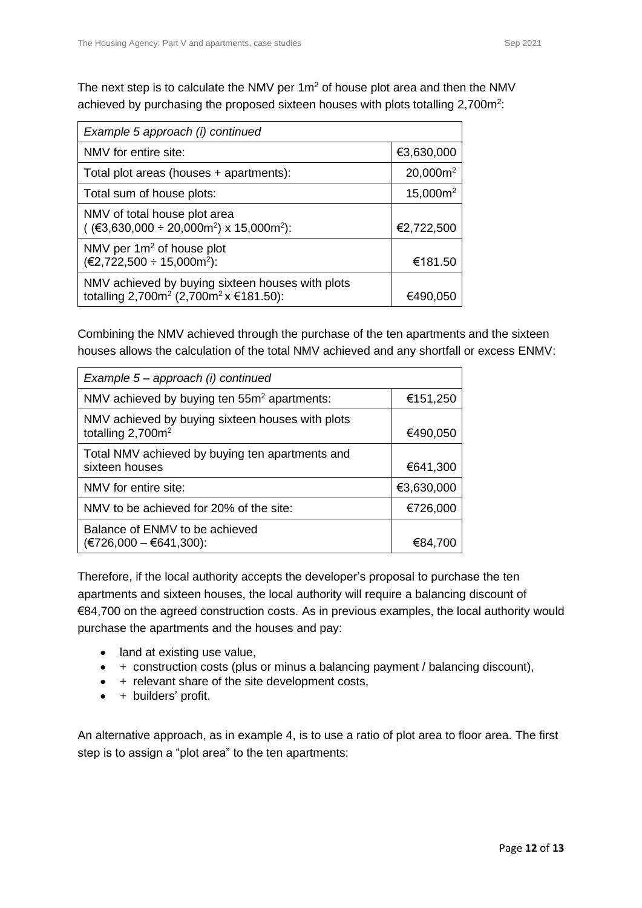The next step is to calculate the NMV per  $1m<sup>2</sup>$  of house plot area and then the NMV achieved by purchasing the proposed sixteen houses with plots totalling  $2,700m^2$ :

| Example 5 approach (i) continued                                                                                   |             |
|--------------------------------------------------------------------------------------------------------------------|-------------|
| NMV for entire site:                                                                                               | €3,630,000  |
| Total plot areas (houses + apartments):                                                                            | $20,000m^2$ |
| Total sum of house plots:                                                                                          | $15,000m^2$ |
| NMV of total house plot area<br>$($ (€3,630,000 ÷ 20,000m <sup>2</sup> ) x 15,000m <sup>2</sup> ):                 | €2,722,500  |
| NMV per $1m^2$ of house plot<br>$(€2,722,500 ÷ 15,000m2)$ :                                                        | €181.50     |
| NMV achieved by buying sixteen houses with plots<br>totalling 2,700m <sup>2</sup> (2,700m <sup>2</sup> x €181.50): | €490.050    |

Combining the NMV achieved through the purchase of the ten apartments and the sixteen houses allows the calculation of the total NMV achieved and any shortfall or excess ENMV:

| Example 5 – approach (i) continued                                                |            |
|-----------------------------------------------------------------------------------|------------|
| NMV achieved by buying ten 55m <sup>2</sup> apartments:                           | €151,250   |
| NMV achieved by buying sixteen houses with plots<br>totalling 2,700m <sup>2</sup> | €490,050   |
| Total NMV achieved by buying ten apartments and<br>sixteen houses                 | €641,300   |
| NMV for entire site:                                                              | €3,630,000 |
| NMV to be achieved for 20% of the site:                                           | €726,000   |
| Balance of ENMV to be achieved<br>$(E726,000 - 6641,300)$ :                       | €84,700    |

Therefore, if the local authority accepts the developer's proposal to purchase the ten apartments and sixteen houses, the local authority will require a balancing discount of €84,700 on the agreed construction costs. As in previous examples, the local authority would purchase the apartments and the houses and pay:

- land at existing use value,
- + construction costs (plus or minus a balancing payment / balancing discount),
- + relevant share of the site development costs,
- + builders' profit.

An alternative approach, as in example 4, is to use a ratio of plot area to floor area. The first step is to assign a "plot area" to the ten apartments: